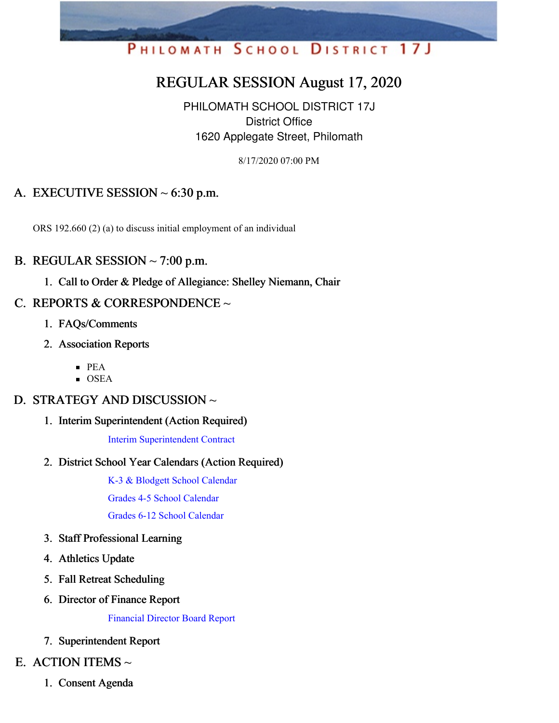# PHILOMATH SCHOOL DISTRICT 17J

# REGULAR SESSION August 17, 2020

PHILOMATH SCHOOL DISTRICT 17J District Office 1620 Applegate Street, Philomath

8/17/2020 07:00 PM

# A. EXECUTIVE SESSION  $\sim$  6:30 p.m.

ORS 192.660 (2) (a) to discuss initial employment of an individual

#### B. REGULAR SESSION  $\sim$  7:00 p.m.

1. Call to Order & Pledge of Allegiance: Shelley Niemann, Chair

## C. REPORTS & CORRESPONDENCE  $\sim$

- 1. FAQs/Comments
- 2. Association Reports
	- PEA
	- $\blacksquare$  OSEA

#### D. STRATEGY AND DISCUSSION ~

1. Interim Superintendent (Action Required)

Interim [Superintendent](https://app.eduportal.com/documents/view/764343) Contract

2. District School Year Calendars (Action Required)

K-3 & Blodgett School [Calendar](https://app.eduportal.com/documents/view/764351) Grades 4-5 School [Calendar](https://app.eduportal.com/documents/view/764353) Grades 6-12 School [Calendar](https://app.eduportal.com/documents/view/764354)

- 3. Staff Professional Learning
- 4. Athletics Update
- 5. Fall Retreat Scheduling
- 6. Director of Finance Report

[Financial](https://app.eduportal.com/documents/view/764345) Director Board Report

7. Superintendent Report

#### E. ACTION ITEMS  $\sim$

1. Consent Agenda